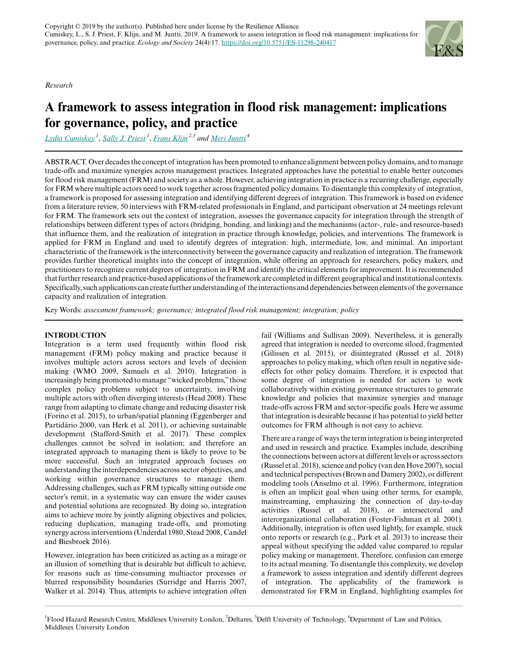*Research*

# **A framework to assess integration in flood risk management: implications for governance, policy, and practice**

*[Lydia Cumiskey](mailto:l.cumiskey@mdx.ac.uk)<sup>1</sup>* , *[Sally J. Priest](mailto:S.Priest@mdx.ac.uk)<sup>1</sup>* , *[Frans Klijn](mailto:frans.klijn@deltares.nl) 2,3 and [Meri Juntti](mailto:M.Juntti@mdx.ac.uk)<sup>4</sup>*

ABSTRACT. Over decades the concept of integration has been promoted to enhance alignment between policy domains, and to manage trade-offs and maximize synergies across management practices. Integrated approaches have the potential to enable better outcomes for flood risk management (FRM) and society as a whole. However, achieving integration in practice is a recurring challenge, especially for FRM where multiple actors need to work together across fragmented policy domains. To disentangle this complexity of integration, a framework is proposed for assessing integration and identifying different degrees of integration. This framework is based on evidence from a literature review, 50 interviews with FRM-related professionals in England, and participant observation at 24 meetings relevant for FRM. The framework sets out the context of integration, assesses the governance capacity for integration through the strength of relationships between different types of actors (bridging, bonding, and linking) and the mechanisms (actor-, rule- and resource-based) that influence them, and the realization of integration in practice through knowledge, policies, and interventions. The framework is applied for FRM in England and used to identify degrees of integration: high, intermediate, low, and minimal. An important characteristic of the framework is the interconnectivity between the governance capacity and realization of integration. The framework provides further theoretical insights into the concept of integration, while offering an approach for researchers, policy makers, and practitioners to recognize current degrees of integration in FRM and identify the critical elements for improvement. It is recommended that further research and practice-based applications of the framework are completed in different geographical and institutional contexts. Specifically, such applications can create further understanding of the interactions and dependencies between elements of the governance capacity and realization of integration.

Key Words: *assessment framework; governance; integrated flood risk management; integration; policy*

## **INTRODUCTION**

Integration is a term used frequently within flood risk management (FRM) policy making and practice because it involves multiple actors across sectors and levels of decision making (WMO 2009, Samuels et al. 2010). Integration is increasingly being promoted to manage "wicked problems," those complex policy problems subject to uncertainty, involving multiple actors with often diverging interests (Head 2008). These range from adapting to climate change and reducing disaster risk (Forino et al. 2015), to urban/spatial planning (Eggenberger and Partidário 2000, van Herk et al. 2011), or achieving sustainable development (Stafford-Smith et al. 2017). These complex challenges cannot be solved in isolation; and therefore an integrated approach to managing them is likely to prove to be more successful. Such an integrated approach focuses on understanding the interdependencies across sector objectives, and working within governance structures to manage them. Addressing challenges, such as FRM typically sitting outside one sector's remit, in a systematic way can ensure the wider causes and potential solutions are recognized. By doing so, integration aims to achieve more by jointly aligning objectives and policies, reducing duplication, managing trade-offs, and promoting synergy across interventions (Underdal 1980, Stead 2008, Candel and Biesbroek 2016).

However, integration has been criticized as acting as a mirage or an illusion of something that is desirable but difficult to achieve, for reasons such as time-consuming multiactor processes or blurred responsibility boundaries (Surridge and Harris 2007, Walker et al. 2014). Thus, attempts to achieve integration often fail (Williams and Sullivan 2009). Nevertheless, it is generally agreed that integration is needed to overcome siloed, fragmented (Gilissen et al. 2015), or disintegrated (Russel et al. 2018) approaches to policy making, which often result in negative sideeffects for other policy domains. Therefore, it is expected that some degree of integration is needed for actors to work collaboratively within existing governance structures to generate knowledge and policies that maximize synergies and manage trade-offs across FRM and sector-specific goals. Here we assume that integration is desirable because it has potential to yield better outcomes for FRM although is not easy to achieve.

There are a range of ways the term integration is being interpreted and used in research and practice. Examples include, describing the connections between actors at different levels or across sectors (Russel et al. 2018), science and policy (van den Hove 2007), social and technical perspectives (Brown and Damery 2002), or different modeling tools (Anselmo et al. 1996). Furthermore, integration is often an implicit goal when using other terms, for example, mainstreaming, emphasizing the connection of day-to-day activities (Russel et al. 2018), or intersectoral and interorganizational collaboration (Foster-Fishman et al. 2001). Additionally, integration is often used lightly, for example, stuck onto reports or research (e.g., Park et al. 2013) to increase their appeal without specifying the added value compared to regular policy making or management. Therefore, confusion can emerge to its actual meaning. To disentangle this complexity, we develop a framework to assess integration and identify different degrees of integration. The applicability of the framework is demonstrated for FRM in England, highlighting examples for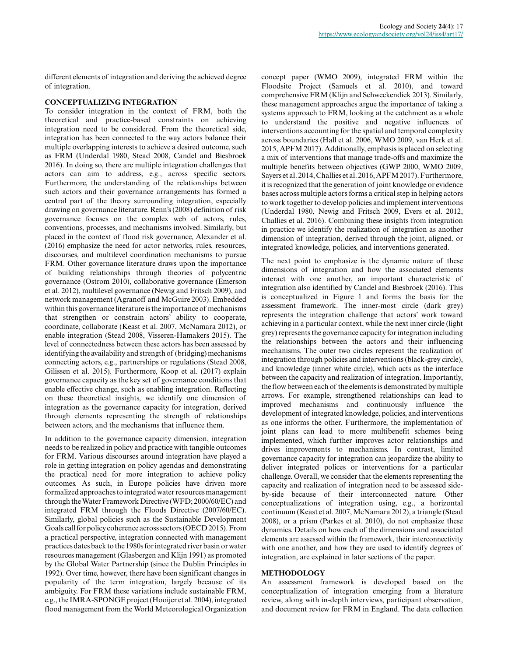different elements of integration and deriving the achieved degree of integration.

## **CONCEPTUALIZING INTEGRATION**

To consider integration in the context of FRM, both the theoretical and practice-based constraints on achieving integration need to be considered. From the theoretical side, integration has been connected to the way actors balance their multiple overlapping interests to achieve a desired outcome, such as FRM (Underdal 1980, Stead 2008, Candel and Biesbroek 2016). In doing so, there are multiple integration challenges that actors can aim to address, e.g., across specific sectors. Furthermore, the understanding of the relationships between such actors and their governance arrangements has formed a central part of the theory surrounding integration, especially drawing on governance literature. Renn's (2008) definition of risk governance focuses on the complex web of actors, rules, conventions, processes, and mechanisms involved. Similarly, but placed in the context of flood risk governance, Alexander et al. (2016) emphasize the need for actor networks, rules, resources, discourses, and multilevel coordination mechanisms to pursue FRM. Other governance literature draws upon the importance of building relationships through theories of polycentric governance (Ostrom 2010), collaborative governance (Emerson et al. 2012), multilevel governance (Newig and Fritsch 2009), and network management (Agranoff and McGuire 2003). Embedded within this governance literature is the importance of mechanisms that strengthen or constrain actors' ability to cooperate, coordinate, collaborate (Keast et al. 2007, McNamara 2012), or enable integration (Stead 2008, Visseren-Hamakers 2015). The level of connectedness between these actors has been assessed by identifying the availability and strength of (bridging) mechanisms connecting actors, e.g., partnerships or regulations (Stead 2008, Gilissen et al. 2015). Furthermore, Koop et al. (2017) explain governance capacity as the key set of governance conditions that enable effective change, such as enabling integration. Reflecting on these theoretical insights, we identify one dimension of integration as the governance capacity for integration, derived through elements representing the strength of relationships between actors, and the mechanisms that influence them.

In addition to the governance capacity dimension, integration needs to be realized in policy and practice with tangible outcomes for FRM. Various discourses around integration have played a role in getting integration on policy agendas and demonstrating the practical need for more integration to achieve policy outcomes. As such, in Europe policies have driven more formalized approaches to integrated water resources management through the Water Framework Directive (WFD; 2000/60/EC) and integrated FRM through the Floods Directive (2007/60/EC). Similarly, global policies such as the Sustainable Development Goals call for policy coherence across sectors (OECD 2015). From a practical perspective, integration connected with management practices dates back to the 1980s for integrated river basin or water resources management (Glasbergen and Klijn 1991) as promoted by the Global Water Partnership (since the Dublin Principles in 1992). Over time, however, there have been significant changes in popularity of the term integration, largely because of its ambiguity. For FRM these variations include sustainable FRM, e.g., the IMRA-SPONGE project (Hooijer et al. 2004), integrated flood management from the World Meteorological Organization

concept paper (WMO 2009), integrated FRM within the Floodsite Project (Samuels et al. 2010), and toward comprehensive FRM (Klijn and Schweckendiek 2013). Similarly, these management approaches argue the importance of taking a systems approach to FRM, looking at the catchment as a whole to understand the positive and negative influences of interventions accounting for the spatial and temporal complexity across boundaries (Hall et al. 2006, WMO 2009, van Herk et al. 2015, APFM 2017). Additionally, emphasis is placed on selecting a mix of interventions that manage trade-offs and maximize the multiple benefits between objectives (GWP 2000, WMO 2009, Sayers et al. 2014, Challies et al. 2016, APFM 2017). Furthermore, it is recognized that the generation of joint knowledge or evidence bases across multiple actors forms a critical step in helping actors to work together to develop policies and implement interventions (Underdal 1980, Newig and Fritsch 2009, Evers et al. 2012, Challies et al. 2016). Combining these insights from integration in practice we identify the realization of integration as another dimension of integration, derived through the joint, aligned, or integrated knowledge, policies, and interventions generated.

The next point to emphasize is the dynamic nature of these dimensions of integration and how the associated elements interact with one another, an important characteristic of integration also identified by Candel and Biesbroek (2016). This is conceptualized in Figure 1 and forms the basis for the assessment framework. The inner-most circle (dark grey) represents the integration challenge that actors' work toward achieving in a particular context, while the next inner circle (light grey) represents the governance capacity for integration including the relationships between the actors and their influencing mechanisms. The outer two circles represent the realization of integration through policies and interventions (black-grey circle), and knowledge (inner white circle), which acts as the interface between the capacity and realization of integration. Importantly, the flow between each of the elements is demonstrated by multiple arrows. For example, strengthened relationships can lead to improved mechanisms and continuously influence the development of integrated knowledge, policies, and interventions as one informs the other. Furthermore, the implementation of joint plans can lead to more multibenefit schemes being implemented, which further improves actor relationships and drives improvements to mechanisms. In contrast, limited governance capacity for integration can jeopardize the ability to deliver integrated polices or interventions for a particular challenge. Overall, we consider that the elements representing the capacity and realization of integration need to be assessed sideby-side because of their interconnected nature. Other conceptualizations of integration using, e.g., a horizontal continuum (Keast et al. 2007, McNamara 2012), a triangle (Stead 2008), or a prism (Parkes et al. 2010), do not emphasize these dynamics. Details on how each of the dimensions and associated elements are assessed within the framework, their interconnectivity with one another, and how they are used to identify degrees of integration, are explained in later sections of the paper.

## **METHODOLOGY**

An assessment framework is developed based on the conceptualization of integration emerging from a literature review, along with in-depth interviews, participant observation, and document review for FRM in England. The data collection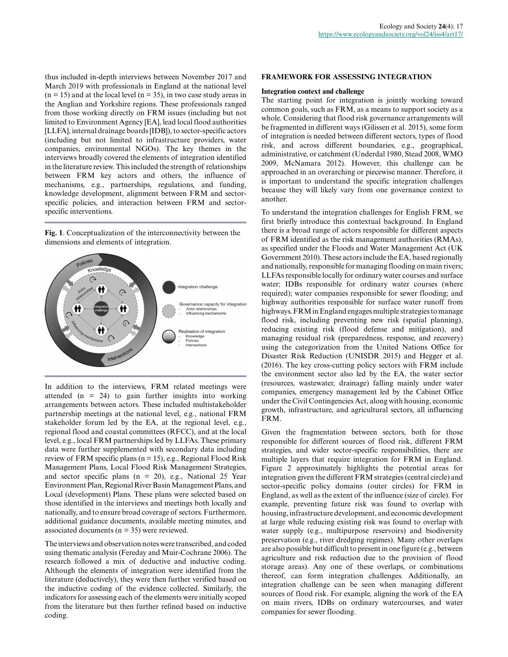thus included in-depth interviews between November 2017 and March 2019 with professionals in England at the national level  $(n = 15)$  and at the local level  $(n = 35)$ , in two case study areas in the Anglian and Yorkshire regions. These professionals ranged from those working directly on FRM issues (including but not limited to Environment Agency [EA], lead local flood authorities [LLFA], internal drainage boards [IDB]), to sector-specific actors (including but not limited to infrastructure providers, water companies, environmental NGOs). The key themes in the interviews broadly covered the elements of integration identified in the literature review. This included the strength of relationships between FRM key actors and others, the influence of mechanisms, e.g., partnerships, regulations, and funding, knowledge development, alignment between FRM and sectorspecific policies, and interaction between FRM and sectorspecific interventions.

**Fig. 1**. Conceptualization of the interconnectivity between the dimensions and elements of integration.



In addition to the interviews, FRM related meetings were attended  $(n = 24)$  to gain further insights into working arrangements between actors. These included multistakeholder partnership meetings at the national level, e.g., national FRM stakeholder forum led by the EA, at the regional level, e.g., regional flood and coastal committees (RFCC), and at the local level, e.g., local FRM partnerships led by LLFAs. These primary data were further supplemented with secondary data including review of FRM specific plans (n = 15), e.g., Regional Flood Risk Management Plans, Local Flood Risk Management Strategies, and sector specific plans ( $n = 20$ ), e.g., National 25 Year Environment Plan, Regional River Basin Management Plans, and Local (development) Plans. These plans were selected based on those identified in the interviews and meetings both locally and nationally, and to ensure broad coverage of sectors. Furthermore, additional guidance documents, available meeting minutes, and associated documents  $(n = 35)$  were reviewed.

The interviews and observation notes were transcribed, and coded using thematic analysis (Fereday and Muir-Cochrane 2006). The research followed a mix of deductive and inductive coding. Although the elements of integration were identified from the literature (deductively), they were then further verified based on the inductive coding of the evidence collected. Similarly, the indicators for assessing each of the elements were initially scoped from the literature but then further refined based on inductive coding.

## **FRAMEWORK FOR ASSESSING INTEGRATION**

#### **Integration context and challenge**

The starting point for integration is jointly working toward common goals, such as FRM, as a means to support society as a whole. Considering that flood risk governance arrangements will be fragmented in different ways (Gilissen et al. 2015), some form of integration is needed between different sectors, types of flood risk, and across different boundaries, e.g., geographical, administrative, or catchment (Underdal 1980, Stead 2008, WMO 2009, McNamara 2012). However, this challenge can be approached in an overarching or piecewise manner. Therefore, it is important to understand the specific integration challenges because they will likely vary from one governance context to another.

To understand the integration challenges for English FRM, we first briefly introduce this contextual background. In England there is a broad range of actors responsible for different aspects of FRM identified as the risk management authorities (RMAs), as specified under the Floods and Water Management Act (UK Government 2010). These actors include the EA, based regionally and nationally, responsible for managing flooding on main rivers; LLFAs responsible locally for ordinary water courses and surface water; IDBs responsible for ordinary water courses (where required); water companies responsible for sewer flooding; and highway authorities responsible for surface water runoff from highways. FRM in England engages multiple strategies to manage flood risk, including preventing new risk (spatial planning), reducing existing risk (flood defense and mitigation), and managing residual risk (preparedness, response, and recovery) using the categorization from the United Nations Office for Disaster Risk Reduction (UNISDR 2015) and Hegger et al. (2016). The key cross-cutting policy sectors with FRM include the environment sector also led by the EA, the water sector (resources, wastewater, drainage) falling mainly under water companies, emergency management led by the Cabinet Office under the Civil Contingencies Act, along with housing, economic growth, infrastructure, and agricultural sectors, all influencing FRM.

Given the fragmentation between sectors, both for those responsible for different sources of flood risk, different FRM strategies, and wider sector-specific responsibilities, there are multiple layers that require integration for FRM in England. Figure 2 approximately highlights the potential areas for integration given the different FRM strategies (central circle) and sector-specific policy domains (outer circles) for FRM in England, as well as the extent of the influence (size of circle). For example, preventing future risk was found to overlap with housing, infrastructure development, and economic development at large while reducing existing risk was found to overlap with water supply (e.g., multipurpose reservoirs) and biodiversity preservation (e.g., river dredging regimes). Many other overlaps are also possible but difficult to present in one figure (e.g., between agriculture and risk reduction due to the provision of flood storage areas). Any one of these overlaps, or combinations thereof, can form integration challenges. Additionally, an integration challenge can be seen when managing different sources of flood risk. For example, aligning the work of the EA on main rivers, IDBs on ordinary watercourses, and water companies for sewer flooding.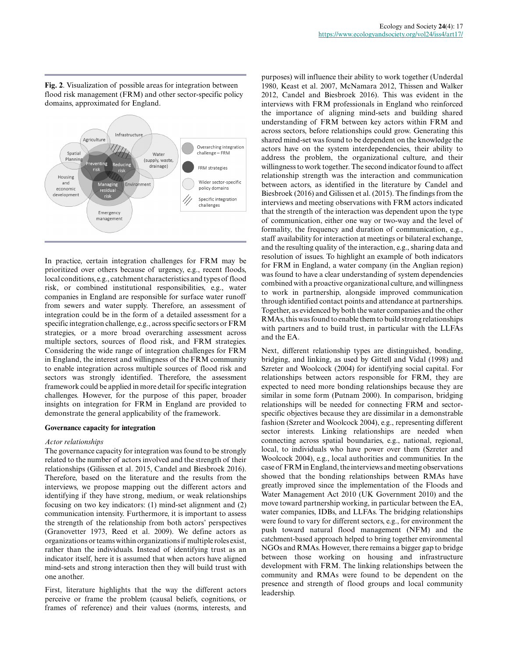**Fig. 2**. Visualization of possible areas for integration between flood risk management (FRM) and other sector-specific policy domains, approximated for England.



In practice, certain integration challenges for FRM may be prioritized over others because of urgency, e.g., recent floods, local conditions, e.g., catchment characteristics and types of flood risk, or combined institutional responsibilities, e.g., water companies in England are responsible for surface water runoff from sewers and water supply. Therefore, an assessment of integration could be in the form of a detailed assessment for a specific integration challenge, e.g., across specific sectors or FRM strategies, or a more broad overarching assessment across multiple sectors, sources of flood risk, and FRM strategies. Considering the wide range of integration challenges for FRM in England, the interest and willingness of the FRM community to enable integration across multiple sources of flood risk and sectors was strongly identified. Therefore, the assessment framework could be applied in more detail for specific integration challenges. However, for the purpose of this paper, broader insights on integration for FRM in England are provided to demonstrate the general applicability of the framework.

## **Governance capacity for integration**

## *Actor relationships*

The governance capacity for integration was found to be strongly related to the number of actors involved and the strength of their relationships (Gilissen et al. 2015, Candel and Biesbroek 2016). Therefore, based on the literature and the results from the interviews, we propose mapping out the different actors and identifying if they have strong, medium, or weak relationships focusing on two key indicators: (1) mind-set alignment and (2) communication intensity. Furthermore, it is important to assess the strength of the relationship from both actors' perspectives (Granovetter 1973, Reed et al. 2009). We define actors as organizations or teams within organizations if multiple roles exist, rather than the individuals. Instead of identifying trust as an indicator itself, here it is assumed that when actors have aligned mind-sets and strong interaction then they will build trust with one another.

First, literature highlights that the way the different actors perceive or frame the problem (causal beliefs, cognitions, or frames of reference) and their values (norms, interests, and purposes) will influence their ability to work together (Underdal 1980, Keast et al. 2007, McNamara 2012, Thissen and Walker 2012, Candel and Biesbroek 2016). This was evident in the interviews with FRM professionals in England who reinforced the importance of aligning mind-sets and building shared understanding of FRM between key actors within FRM and across sectors, before relationships could grow. Generating this shared mind-set was found to be dependent on the knowledge the actors have on the system interdependencies, their ability to address the problem, the organizational culture, and their willingness to work together. The second indicator found to affect relationship strength was the interaction and communication between actors, as identified in the literature by Candel and Biesbroek (2016) and Gilissen et al. (2015). The findings from the interviews and meeting observations with FRM actors indicated that the strength of the interaction was dependent upon the type of communication, either one way or two-way and the level of formality, the frequency and duration of communication, e.g., staff availability for interaction at meetings or bilateral exchange, and the resulting quality of the interaction, e.g., sharing data and resolution of issues. To highlight an example of both indicators for FRM in England, a water company (in the Anglian region) was found to have a clear understanding of system dependencies combined with a proactive organizational culture, and willingness to work in partnership, alongside improved communication through identified contact points and attendance at partnerships. Together, as evidenced by both the water companies and the other RMAs, this was found to enable them to build strong relationships with partners and to build trust, in particular with the LLFAs and the EA.

Next, different relationship types are distinguished, bonding, bridging, and linking, as used by Gittell and Vidal (1998) and Szreter and Woolcock (2004) for identifying social capital. For relationships between actors responsible for FRM, they are expected to need more bonding relationships because they are similar in some form (Putnam 2000). In comparison, bridging relationships will be needed for connecting FRM and sectorspecific objectives because they are dissimilar in a demonstrable fashion (Szreter and Woolcock 2004), e.g., representing different sector interests. Linking relationships are needed when connecting across spatial boundaries, e.g., national, regional, local, to individuals who have power over them (Szreter and Woolcock 2004), e.g., local authorities and communities. In the case of FRM in England, the interviews and meeting observations showed that the bonding relationships between RMAs have greatly improved since the implementation of the Floods and Water Management Act 2010 (UK Government 2010) and the move toward partnership working, in particular between the EA, water companies, IDBs, and LLFAs. The bridging relationships were found to vary for different sectors, e.g., for environment the push toward natural flood management (NFM) and the catchment-based approach helped to bring together environmental NGOs and RMAs. However, there remains a bigger gap to bridge between those working on housing and infrastructure development with FRM. The linking relationships between the community and RMAs were found to be dependent on the presence and strength of flood groups and local community leadership.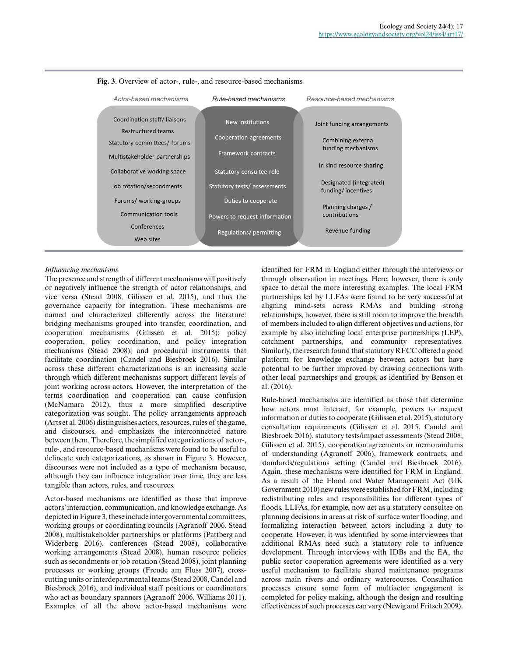

## **Fig. 3**. Overview of actor-, rule-, and resource-based mechanisms.

## *Influencing mechanisms*

The presence and strength of different mechanisms will positively or negatively influence the strength of actor relationships, and vice versa (Stead 2008, Gilissen et al. 2015), and thus the governance capacity for integration. These mechanisms are named and characterized differently across the literature: bridging mechanisms grouped into transfer, coordination, and cooperation mechanisms (Gilissen et al. 2015); policy cooperation, policy coordination, and policy integration mechanisms (Stead 2008); and procedural instruments that facilitate coordination (Candel and Biesbroek 2016). Similar across these different characterizations is an increasing scale through which different mechanisms support different levels of joint working across actors. However, the interpretation of the terms coordination and cooperation can cause confusion (McNamara 2012), thus a more simplified descriptive categorization was sought. The policy arrangements approach (Arts et al. 2006) distinguishes actors, resources, rules of the game, and discourses, and emphasizes the interconnected nature between them. Therefore, the simplified categorizations of actor-, rule-, and resource-based mechanisms were found to be useful to delineate such categorizations, as shown in Figure 3. However, discourses were not included as a type of mechanism because, although they can influence integration over time, they are less tangible than actors, rules, and resources.

Actor-based mechanisms are identified as those that improve actors' interaction, communication, and knowledge exchange. As depicted in Figure 3, these include intergovernmental committees, working groups or coordinating councils (Agranoff 2006, Stead 2008), multistakeholder partnerships or platforms (Pattberg and Widerberg 2016), conferences (Stead 2008), collaborative working arrangements (Stead 2008), human resource policies such as secondments or job rotation (Stead 2008), joint planning processes or working groups (Freude am Fluss 2007), crosscutting units or interdepartmental teams (Stead 2008, Candel and Biesbroek 2016), and individual staff positions or coordinators who act as boundary spanners (Agranoff 2006, Williams 2011). Examples of all the above actor-based mechanisms were

identified for FRM in England either through the interviews or through observation in meetings. Here, however, there is only space to detail the more interesting examples. The local FRM partnerships led by LLFAs were found to be very successful at aligning mind-sets across RMAs and building strong relationships, however, there is still room to improve the breadth of members included to align different objectives and actions, for example by also including local enterprise partnerships (LEP), catchment partnerships, and community representatives. Similarly, the research found that statutory RFCC offered a good platform for knowledge exchange between actors but have potential to be further improved by drawing connections with other local partnerships and groups, as identified by Benson et al. (2016).

Rule-based mechanisms are identified as those that determine how actors must interact, for example, powers to request information or duties to cooperate (Gilissen et al. 2015), statutory consultation requirements (Gilissen et al. 2015, Candel and Biesbroek 2016), statutory tests/impact assessments (Stead 2008, Gilissen et al. 2015), cooperation agreements or memorandums of understanding (Agranoff 2006), framework contracts, and standards/regulations setting (Candel and Biesbroek 2016). Again, these mechanisms were identified for FRM in England. As a result of the Flood and Water Management Act (UK Government 2010) new rules were established for FRM, including redistributing roles and responsibilities for different types of floods. LLFAs, for example, now act as a statutory consultee on planning decisions in areas at risk of surface water flooding, and formalizing interaction between actors including a duty to cooperate. However, it was identified by some interviewees that additional RMAs need such a statutory role to influence development. Through interviews with IDBs and the EA, the public sector cooperation agreements were identified as a very useful mechanism to facilitate shared maintenance programs across main rivers and ordinary watercourses. Consultation processes ensure some form of multiactor engagement is completed for policy making, although the design and resulting effectiveness of such processes can vary (Newig and Fritsch 2009).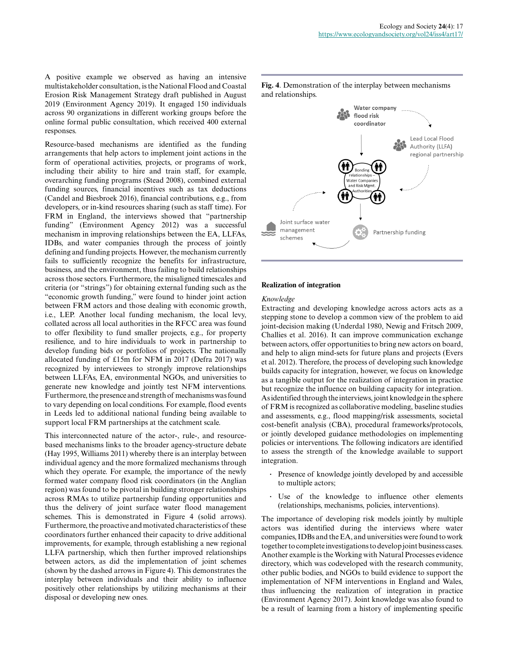A positive example we observed as having an intensive multistakeholder consultation, is the National Flood and Coastal Erosion Risk Management Strategy draft published in August 2019 (Environment Agency 2019). It engaged 150 individuals across 90 organizations in different working groups before the online formal public consultation, which received 400 external responses.

Resource-based mechanisms are identified as the funding arrangements that help actors to implement joint actions in the form of operational activities, projects, or programs of work, including their ability to hire and train staff, for example, overarching funding programs (Stead 2008), combined external funding sources, financial incentives such as tax deductions (Candel and Biesbroek 2016), financial contributions, e.g., from developers, or in-kind resources sharing (such as staff time). For FRM in England, the interviews showed that "partnership funding" (Environment Agency 2012) was a successful mechanism in improving relationships between the EA, LLFAs, IDBs, and water companies through the process of jointly defining and funding projects. However, the mechanism currently fails to sufficiently recognize the benefits for infrastructure, business, and the environment, thus failing to build relationships across those sectors. Furthermore, the misaligned timescales and criteria (or "strings") for obtaining external funding such as the "economic growth funding," were found to hinder joint action between FRM actors and those dealing with economic growth, i.e., LEP. Another local funding mechanism, the local levy, collated across all local authorities in the RFCC area was found to offer flexibility to fund smaller projects, e.g., for property resilience, and to hire individuals to work in partnership to develop funding bids or portfolios of projects. The nationally allocated funding of £15m for NFM in 2017 (Defra 2017) was recognized by interviewees to strongly improve relationships between LLFAs, EA, environmental NGOs, and universities to generate new knowledge and jointly test NFM interventions. Furthermore, the presence and strength of mechanisms was found to vary depending on local conditions. For example, flood events in Leeds led to additional national funding being available to support local FRM partnerships at the catchment scale.

This interconnected nature of the actor-, rule-, and resourcebased mechanisms links to the broader agency-structure debate (Hay 1995, Williams 2011) whereby there is an interplay between individual agency and the more formalized mechanisms through which they operate. For example, the importance of the newly formed water company flood risk coordinators (in the Anglian region) was found to be pivotal in building stronger relationships across RMAs to utilize partnership funding opportunities and thus the delivery of joint surface water flood management schemes. This is demonstrated in Figure 4 (solid arrows). Furthermore, the proactive and motivated characteristics of these coordinators further enhanced their capacity to drive additional improvements, for example, through establishing a new regional LLFA partnership, which then further improved relationships between actors, as did the implementation of joint schemes (shown by the dashed arrows in Figure 4). This demonstrates the interplay between individuals and their ability to influence positively other relationships by utilizing mechanisms at their disposal or developing new ones.

Water company flood risk coordinator Lead Local Flood Authority (LLFA) regional partnership Bonding elationship: Water Companie and Risk Mgmt uthoriti Joint surface water management Partnership funding schemes

## **Fig. 4**. Demonstration of the interplay between mechanisms and relationships.

## **Realization of integration**

#### *Knowledge*

Extracting and developing knowledge across actors acts as a stepping stone to develop a common view of the problem to aid joint-decision making (Underdal 1980, Newig and Fritsch 2009, Challies et al. 2016). It can improve communication exchange between actors, offer opportunities to bring new actors on board, and help to align mind-sets for future plans and projects (Evers et al. 2012). Therefore, the process of developing such knowledge builds capacity for integration, however, we focus on knowledge as a tangible output for the realization of integration in practice but recognize the influence on building capacity for integration. As identified through the interviews, joint knowledge in the sphere of FRM is recognized as collaborative modeling, baseline studies and assessments, e.g., flood mapping/risk assessments, societal cost-benefit analysis (CBA), procedural frameworks/protocols, or jointly developed guidance methodologies on implementing policies or interventions. The following indicators are identified to assess the strength of the knowledge available to support integration.

- **.** Presence of knowledge jointly developed by and accessible to multiple actors;
- **.** Use of the knowledge to influence other elements (relationships, mechanisms, policies, interventions).

The importance of developing risk models jointly by multiple actors was identified during the interviews where water companies, IDBs and the EA, and universities were found to work together to complete investigations to develop joint business cases. Another example is the Working with Natural Processes evidence directory, which was codeveloped with the research community, other public bodies, and NGOs to build evidence to support the implementation of NFM interventions in England and Wales, thus influencing the realization of integration in practice (Environment Agency 2017). Joint knowledge was also found to be a result of learning from a history of implementing specific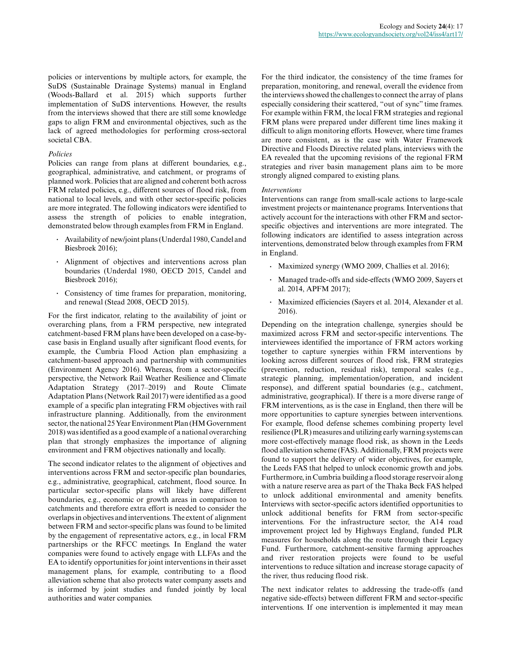policies or interventions by multiple actors, for example, the SuDS (Sustainable Drainage Systems) manual in England (Woods-Ballard et al. 2015) which supports further implementation of SuDS interventions. However, the results from the interviews showed that there are still some knowledge gaps to align FRM and environmental objectives, such as the lack of agreed methodologies for performing cross-sectoral societal CBA.

## *Policies*

Policies can range from plans at different boundaries, e.g., geographical, administrative, and catchment, or programs of planned work. Policies that are aligned and coherent both across FRM related policies, e.g., different sources of flood risk, from national to local levels, and with other sector-specific policies are more integrated. The following indicators were identified to assess the strength of policies to enable integration, demonstrated below through examples from FRM in England.

- **.** Availability of new/joint plans (Underdal 1980, Candel and Biesbroek 2016);
- **.** Alignment of objectives and interventions across plan boundaries (Underdal 1980, OECD 2015, Candel and Biesbroek 2016);
- **.** Consistency of time frames for preparation, monitoring, and renewal (Stead 2008, OECD 2015).

For the first indicator, relating to the availability of joint or overarching plans, from a FRM perspective, new integrated catchment-based FRM plans have been developed on a case-bycase basis in England usually after significant flood events, for example, the Cumbria Flood Action plan emphasizing a catchment-based approach and partnership with communities (Environment Agency 2016). Whereas, from a sector-specific perspective, the Network Rail Weather Resilience and Climate Adaptation Strategy (2017–2019) and Route Climate Adaptation Plans (Network Rail 2017) were identified as a good example of a specific plan integrating FRM objectives with rail infrastructure planning. Additionally, from the environment sector, the national 25 Year Environment Plan (HM Government 2018) was identified as a good example of a national overarching plan that strongly emphasizes the importance of aligning environment and FRM objectives nationally and locally.

The second indicator relates to the alignment of objectives and interventions across FRM and sector-specific plan boundaries, e.g., administrative, geographical, catchment, flood source. In particular sector-specific plans will likely have different boundaries, e.g., economic or growth areas in comparison to catchments and therefore extra effort is needed to consider the overlaps in objectives and interventions. The extent of alignment between FRM and sector-specific plans was found to be limited by the engagement of representative actors, e.g., in local FRM partnerships or the RFCC meetings. In England the water companies were found to actively engage with LLFAs and the EA to identify opportunities for joint interventions in their asset management plans, for example, contributing to a flood alleviation scheme that also protects water company assets and is informed by joint studies and funded jointly by local authorities and water companies.

For the third indicator, the consistency of the time frames for preparation, monitoring, and renewal, overall the evidence from the interviews showed the challenges to connect the array of plans especially considering their scattered, "out of sync" time frames. For example within FRM, the local FRM strategies and regional FRM plans were prepared under different time lines making it difficult to align monitoring efforts. However, where time frames are more consistent, as is the case with Water Framework Directive and Floods Directive related plans, interviews with the EA revealed that the upcoming revisions of the regional FRM strategies and river basin management plans aim to be more strongly aligned compared to existing plans.

## *Interventions*

Interventions can range from small-scale actions to large-scale investment projects or maintenance programs. Interventions that actively account for the interactions with other FRM and sectorspecific objectives and interventions are more integrated. The following indicators are identified to assess integration across interventions, demonstrated below through examples from FRM in England.

- **.** Maximized synergy (WMO 2009, Challies et al. 2016);
- **.** Managed trade-offs and side-effects (WMO 2009, Sayers et al. 2014, APFM 2017);
- **.** Maximized efficiencies (Sayers et al. 2014, Alexander et al. 2016).

Depending on the integration challenge, synergies should be maximized across FRM and sector-specific interventions. The interviewees identified the importance of FRM actors working together to capture synergies within FRM interventions by looking across different sources of flood risk, FRM strategies (prevention, reduction, residual risk), temporal scales (e.g., strategic planning, implementation/operation, and incident response), and different spatial boundaries (e.g., catchment, administrative, geographical). If there is a more diverse range of FRM interventions, as is the case in England, then there will be more opportunities to capture synergies between interventions. For example, flood defense schemes combining property level resilience (PLR) measures and utilizing early warning systems can more cost-effectively manage flood risk, as shown in the Leeds flood alleviation scheme (FAS). Additionally, FRM projects were found to support the delivery of wider objectives, for example, the Leeds FAS that helped to unlock economic growth and jobs. Furthermore, in Cumbria building a flood storage reservoir along with a nature reserve area as part of the Thaka Beck FAS helped to unlock additional environmental and amenity benefits. Interviews with sector-specific actors identified opportunities to unlock additional benefits for FRM from sector-specific interventions. For the infrastructure sector, the A14 road improvement project led by Highways England, funded PLR measures for households along the route through their Legacy Fund. Furthermore, catchment-sensitive farming approaches and river restoration projects were found to be useful interventions to reduce siltation and increase storage capacity of the river, thus reducing flood risk.

The next indicator relates to addressing the trade-offs (and negative side-effects) between different FRM and sector-specific interventions. If one intervention is implemented it may mean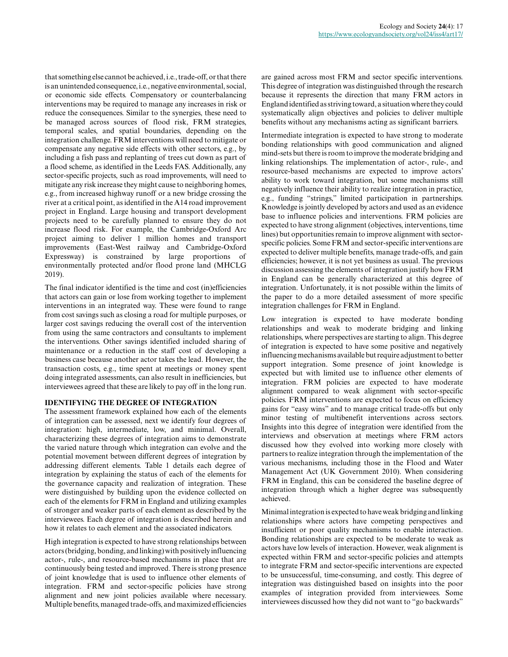that something else cannot be achieved, i.e., trade-off, or that there is an unintended consequence, i.e., negative environmental, social, or economic side effects. Compensatory or counterbalancing interventions may be required to manage any increases in risk or reduce the consequences. Similar to the synergies, these need to be managed across sources of flood risk, FRM strategies, temporal scales, and spatial boundaries, depending on the integration challenge. FRM interventions will need to mitigate or compensate any negative side effects with other sectors, e.g., by including a fish pass and replanting of trees cut down as part of a flood scheme, as identified in the Leeds FAS. Additionally, any sector-specific projects, such as road improvements, will need to mitigate any risk increase they might cause to neighboring homes, e.g., from increased highway runoff or a new bridge crossing the river at a critical point, as identified in the A14 road improvement project in England. Large housing and transport development projects need to be carefully planned to ensure they do not increase flood risk. For example, the Cambridge-Oxford Arc project aiming to deliver 1 million homes and transport improvements (East-West railway and Cambridge-Oxford Expressway) is constrained by large proportions of environmentally protected and/or flood prone land (MHCLG 2019).

The final indicator identified is the time and cost (in)efficiencies that actors can gain or lose from working together to implement interventions in an integrated way. These were found to range from cost savings such as closing a road for multiple purposes, or larger cost savings reducing the overall cost of the intervention from using the same contractors and consultants to implement the interventions. Other savings identified included sharing of maintenance or a reduction in the staff cost of developing a business case because another actor takes the lead. However, the transaction costs, e.g., time spent at meetings or money spent doing integrated assessments, can also result in inefficiencies, but interviewees agreed that these are likely to pay off in the long run.

## **IDENTIFYING THE DEGREE OF INTEGRATION**

The assessment framework explained how each of the elements of integration can be assessed, next we identify four degrees of integration: high, intermediate, low, and minimal. Overall, characterizing these degrees of integration aims to demonstrate the varied nature through which integration can evolve and the potential movement between different degrees of integration by addressing different elements. Table 1 details each degree of integration by explaining the status of each of the elements for the governance capacity and realization of integration. These were distinguished by building upon the evidence collected on each of the elements for FRM in England and utilizing examples of stronger and weaker parts of each element as described by the interviewees. Each degree of integration is described herein and how it relates to each element and the associated indicators.

High integration is expected to have strong relationships between actors (bridging, bonding, and linking) with positively influencing actor-, rule-, and resource-based mechanisms in place that are continuously being tested and improved. There is strong presence of joint knowledge that is used to influence other elements of integration. FRM and sector-specific policies have strong alignment and new joint policies available where necessary. Multiple benefits, managed trade-offs, and maximized efficiencies

are gained across most FRM and sector specific interventions. This degree of integration was distinguished through the research because it represents the direction that many FRM actors in England identified as striving toward, a situation where they could systematically align objectives and policies to deliver multiple benefits without any mechanisms acting as significant barriers.

Intermediate integration is expected to have strong to moderate bonding relationships with good communication and aligned mind-sets but there is room to improve the moderate bridging and linking relationships. The implementation of actor-, rule-, and resource-based mechanisms are expected to improve actors' ability to work toward integration, but some mechanisms still negatively influence their ability to realize integration in practice, e.g., funding "strings," limited participation in partnerships. Knowledge is jointly developed by actors and used as an evidence base to influence policies and interventions. FRM policies are expected to have strong alignment (objectives, interventions, time lines) but opportunities remain to improve alignment with sectorspecific policies. Some FRM and sector-specific interventions are expected to deliver multiple benefits, manage trade-offs, and gain efficiencies; however, it is not yet business as usual. The previous discussion assessing the elements of integration justify how FRM in England can be generally characterized at this degree of integration. Unfortunately, it is not possible within the limits of the paper to do a more detailed assessment of more specific integration challenges for FRM in England.

Low integration is expected to have moderate bonding relationships and weak to moderate bridging and linking relationships, where perspectives are starting to align. This degree of integration is expected to have some positive and negatively influencing mechanisms available but require adjustment to better support integration. Some presence of joint knowledge is expected but with limited use to influence other elements of integration. FRM policies are expected to have moderate alignment compared to weak alignment with sector-specific policies. FRM interventions are expected to focus on efficiency gains for "easy wins" and to manage critical trade-offs but only minor testing of multibenefit interventions across sectors. Insights into this degree of integration were identified from the interviews and observation at meetings where FRM actors discussed how they evolved into working more closely with partners to realize integration through the implementation of the various mechanisms, including those in the Flood and Water Management Act (UK Government 2010). When considering FRM in England, this can be considered the baseline degree of integration through which a higher degree was subsequently achieved.

Minimal integration is expected to have weak bridging and linking relationships where actors have competing perspectives and insufficient or poor quality mechanisms to enable interaction. Bonding relationships are expected to be moderate to weak as actors have low levels of interaction. However, weak alignment is expected within FRM and sector-specific policies and attempts to integrate FRM and sector-specific interventions are expected to be unsuccessful, time-consuming, and costly. This degree of integration was distinguished based on insights into the poor examples of integration provided from interviewees. Some interviewees discussed how they did not want to "go backwards"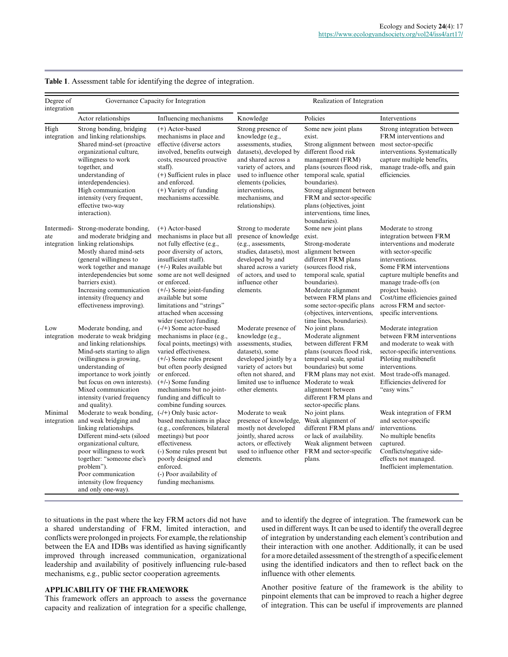| Degree of<br>integration | Governance Capacity for Integration                                                                                                                                                                                                                                                                                             |                                                                                                                                                                                                                                                                                                                                                       | Realization of Integration                                                                                                                                                                                                                            |                                                                                                                                                                                                                                                                                                                  |                                                                                                                                                                                                                                                                                                                    |
|--------------------------|---------------------------------------------------------------------------------------------------------------------------------------------------------------------------------------------------------------------------------------------------------------------------------------------------------------------------------|-------------------------------------------------------------------------------------------------------------------------------------------------------------------------------------------------------------------------------------------------------------------------------------------------------------------------------------------------------|-------------------------------------------------------------------------------------------------------------------------------------------------------------------------------------------------------------------------------------------------------|------------------------------------------------------------------------------------------------------------------------------------------------------------------------------------------------------------------------------------------------------------------------------------------------------------------|--------------------------------------------------------------------------------------------------------------------------------------------------------------------------------------------------------------------------------------------------------------------------------------------------------------------|
|                          | Actor relationships                                                                                                                                                                                                                                                                                                             | Influencing mechanisms                                                                                                                                                                                                                                                                                                                                | Knowledge                                                                                                                                                                                                                                             | Policies                                                                                                                                                                                                                                                                                                         | <b>Interventions</b>                                                                                                                                                                                                                                                                                               |
| High<br>integration      | Strong bonding, bridging<br>and linking relationships.<br>Shared mind-set (proactive<br>organizational culture,<br>willingness to work<br>together, and<br>understanding of<br>interdependencies).<br>High communication<br>intensity (very frequent,<br>effective two-way<br>interaction).                                     | (+) Actor-based<br>mechanisms in place and<br>effective (diverse actors<br>involved, benefits outweigh<br>costs, resourced proactive<br>staff).<br>$(+)$ Sufficient rules in place<br>and enforced.<br>$(+)$ Variety of funding<br>mechanisms accessible.                                                                                             | Strong presence of<br>knowledge (e.g.,<br>assessments, studies,<br>datasets), developed by<br>and shared across a<br>variety of actors, and<br>used to influence other<br>elements (policies,<br>interventions.<br>mechanisms, and<br>relationships). | Some new joint plans<br>exist.<br>Strong alignment between<br>different flood risk<br>management (FRM)<br>plans (sources flood risk,<br>temporal scale, spatial<br>boundaries).<br>Strong alignment between<br>FRM and sector-specific<br>plans (objectives, joint<br>interventions, time lines,<br>boundaries). | Strong integration between<br>FRM interventions and<br>most sector-specific<br>interventions. Systematically<br>capture multiple benefits,<br>manage trade-offs, and gain<br>efficiencies.                                                                                                                         |
| ate                      | Intermedi- Strong-moderate bonding,<br>and moderate bridging and<br>integration linking relationships.<br>Mostly shared mind-sets<br>(general willingness to<br>work together and manage<br>interdependencies but some<br>barriers exist).<br>Increasing communication<br>intensity (frequency and<br>effectiveness improving). | (+) Actor-based<br>mechanisms in place but all<br>not fully effective (e.g.,<br>poor diversity of actors,<br>insufficient staff).<br>$(+/-)$ Rules available but<br>some are not well designed<br>or enforced.<br>$(+/-)$ Some joint-funding<br>available but some<br>limitations and "strings"<br>attached when accessing<br>wider (sector) funding. | Strong to moderate<br>presence of knowledge<br>(e.g., assessments,<br>studies, datasets), most<br>developed by and<br>shared across a variety<br>of actors, and used to<br>influence other<br>elements.                                               | Some new joint plans<br>exist.<br>Strong-moderate<br>alignment between<br>different FRM plans<br>(sources flood risk,<br>temporal scale, spatial<br>boundaries).<br>Moderate alignment<br>between FRM plans and<br>some sector-specific plans<br>(objectives, interventions,<br>time lines, boundaries).         | Moderate to strong<br>integration between FRM<br>interventions and moderate<br>with sector-specific<br>interventions.<br>Some FRM interventions<br>capture multiple benefits and<br>manage trade-offs (on<br>project basis).<br>Cost/time efficiencies gained<br>across FRM and sector-<br>specific interventions. |
| Low                      | Moderate bonding, and<br>integration moderate to weak bridging<br>and linking relationships.<br>Mind-sets starting to align<br>(willingness is growing,<br>understanding of<br>importance to work jointly<br>but focus on own interests).<br>Mixed communication<br>intensity (varied frequency<br>and quality).                | $(-/+)$ Some actor-based<br>mechanisms in place (e.g.,<br>focal points, meetings) with<br>varied effectiveness.<br>$(+/-)$ Some rules present<br>but often poorly designed<br>or enforced.<br>$(+/-)$ Some funding<br>mechanisms but no joint-<br>funding and difficult to<br>combine funding sources.                                                | Moderate presence of<br>knowledge (e.g.,<br>assessments, studies,<br>datasets), some<br>developed jointly by a<br>variety of actors but<br>often not shared, and<br>limited use to influence<br>other elements.                                       | No joint plans.<br>Moderate alignment<br>between different FRM<br>plans (sources flood risk,<br>temporal scale, spatial<br>boundaries) but some<br>FRM plans may not exist.<br>Moderate to weak<br>alignment between<br>different FRM plans and<br>sector-specific plans.                                        | Moderate integration<br>between FRM interventions<br>and moderate to weak with<br>sector-specific interventions.<br>Piloting multibenefit<br>interventions.<br>Most trade-offs managed.<br>Efficiencies delivered for<br>"easy wins."                                                                              |
| Minimal<br>integration   | Moderate to weak bonding,<br>and weak bridging and<br>linking relationships.<br>Different mind-sets (siloed<br>organizational culture,<br>poor willingness to work<br>together: "someone else's<br>problem").<br>Poor communication<br>intensity (low frequency<br>and only one-way).                                           | $(-/+)$ Only basic actor-<br>based mechanisms in place<br>(e.g., conferences, bilateral<br>meetings) but poor<br>effectiveness.<br>(-) Some rules present but<br>poorly designed and<br>enforced.<br>(-) Poor availability of<br>funding mechanisms.                                                                                                  | Moderate to weak<br>presence of knowledge,<br>mostly not developed<br>jointly, shared across<br>actors, or effectively<br>used to influence other<br>elements.                                                                                        | No joint plans.<br>Weak alignment of<br>different FRM plans and/<br>or lack of availability.<br>Weak alignment between<br>FRM and sector-specific<br>plans.                                                                                                                                                      | Weak integration of FRM<br>and sector-specific<br>interventions.<br>No multiple benefits<br>captured.<br>Conflicts/negative side-<br>effects not managed.<br>Inefficient implementation.                                                                                                                           |

## **Table 1**. Assessment table for identifying the degree of integration.

to situations in the past where the key FRM actors did not have a shared understanding of FRM, limited interaction, and conflicts were prolonged in projects. For example, the relationship between the EA and IDBs was identified as having significantly improved through increased communication, organizational leadership and availability of positively influencing rule-based mechanisms, e.g., public sector cooperation agreements.

# **APPLICABILITY OF THE FRAMEWORK**

This framework offers an approach to assess the governance capacity and realization of integration for a specific challenge, and to identify the degree of integration. The framework can be used in different ways. It can be used to identify the overall degree of integration by understanding each element's contribution and their interaction with one another. Additionally, it can be used for a more detailed assessment of the strength of a specific element using the identified indicators and then to reflect back on the influence with other elements.

Another positive feature of the framework is the ability to pinpoint elements that can be improved to reach a higher degree of integration. This can be useful if improvements are planned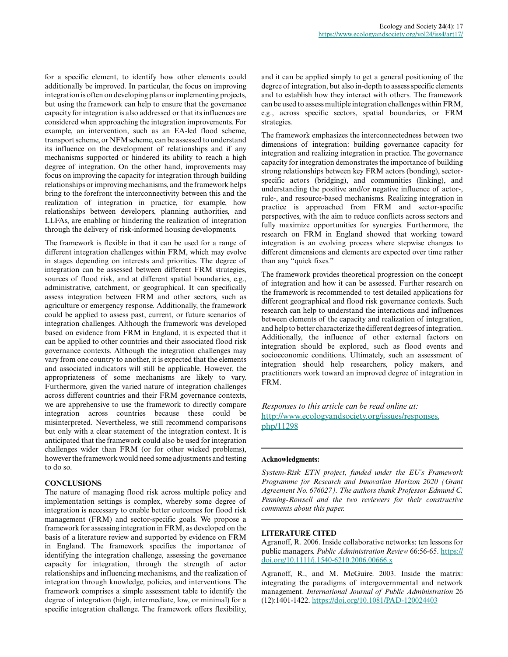for a specific element, to identify how other elements could additionally be improved. In particular, the focus on improving integration is often on developing plans or implementing projects, but using the framework can help to ensure that the governance capacity for integration is also addressed or that its influences are considered when approaching the integration improvements. For example, an intervention, such as an EA-led flood scheme, transport scheme, or NFM scheme, can be assessed to understand its influence on the development of relationships and if any mechanisms supported or hindered its ability to reach a high degree of integration. On the other hand, improvements may focus on improving the capacity for integration through building relationships or improving mechanisms, and the framework helps bring to the forefront the interconnectivity between this and the realization of integration in practice, for example, how relationships between developers, planning authorities, and LLFAs, are enabling or hindering the realization of integration through the delivery of risk-informed housing developments.

The framework is flexible in that it can be used for a range of different integration challenges within FRM, which may evolve in stages depending on interests and priorities. The degree of integration can be assessed between different FRM strategies, sources of flood risk, and at different spatial boundaries, e.g., administrative, catchment, or geographical. It can specifically assess integration between FRM and other sectors, such as agriculture or emergency response. Additionally, the framework could be applied to assess past, current, or future scenarios of integration challenges. Although the framework was developed based on evidence from FRM in England, it is expected that it can be applied to other countries and their associated flood risk governance contexts. Although the integration challenges may vary from one country to another, it is expected that the elements and associated indicators will still be applicable. However, the appropriateness of some mechanisms are likely to vary. Furthermore, given the varied nature of integration challenges across different countries and their FRM governance contexts, we are apprehensive to use the framework to directly compare integration across countries because these could be misinterpreted. Nevertheless, we still recommend comparisons but only with a clear statement of the integration context. It is anticipated that the framework could also be used for integration challenges wider than FRM (or for other wicked problems), however the framework would need some adjustments and testing to do so.

## **CONCLUSIONS**

The nature of managing flood risk across multiple policy and implementation settings is complex, whereby some degree of integration is necessary to enable better outcomes for flood risk management (FRM) and sector-specific goals. We propose a framework for assessing integration in FRM, as developed on the basis of a literature review and supported by evidence on FRM in England. The framework specifies the importance of identifying the integration challenge, assessing the governance capacity for integration, through the strength of actor relationships and influencing mechanisms, and the realization of integration through knowledge, policies, and interventions. The framework comprises a simple assessment table to identify the degree of integration (high, intermediate, low, or minimal) for a specific integration challenge. The framework offers flexibility,

and it can be applied simply to get a general positioning of the degree of integration, but also in-depth to assess specific elements and to establish how they interact with others. The framework can be used to assess multiple integration challenges within FRM, e.g., across specific sectors, spatial boundaries, or FRM strategies.

The framework emphasizes the interconnectedness between two dimensions of integration: building governance capacity for integration and realizing integration in practice. The governance capacity for integration demonstrates the importance of building strong relationships between key FRM actors (bonding), sectorspecific actors (bridging), and communities (linking), and understanding the positive and/or negative influence of actor-, rule-, and resource-based mechanisms. Realizing integration in practice is approached from FRM and sector-specific perspectives, with the aim to reduce conflicts across sectors and fully maximize opportunities for synergies. Furthermore, the research on FRM in England showed that working toward integration is an evolving process where stepwise changes to different dimensions and elements are expected over time rather than any "quick fixes."

The framework provides theoretical progression on the concept of integration and how it can be assessed. Further research on the framework is recommended to test detailed applications for different geographical and flood risk governance contexts. Such research can help to understand the interactions and influences between elements of the capacity and realization of integration, and help to better characterize the different degrees of integration. Additionally, the influence of other external factors on integration should be explored, such as flood events and socioeconomic conditions. Ultimately, such an assessment of integration should help researchers, policy makers, and practitioners work toward an improved degree of integration in FRM.

*Responses to this article can be read online at:* [http://www.ecologyandsociety.org/issues/responses.](http://www.ecologyandsociety.org/issues/responses.php/11298) [php/11298](http://www.ecologyandsociety.org/issues/responses.php/11298)

## **Acknowledgments:**

*System-Risk ETN project, funded under the EU's Framework Programme for Research and Innovation Horizon 2020 (Grant Agreement No. 676027). The authors thank Professor Edmund C. Penning-Rowsell and the two reviewers for their constructive comments about this paper.*

## **LITERATURE CITED**

Agranoff, R. 2006. Inside collaborative networks: ten lessons for public managers. *Public Administration Review* 66:56-65. [https://](https://doi.org/10.1111/j.1540-6210.2006.00666.x) [doi.org/10.1111/j.1540-6210.2006.00666.x](https://doi.org/10.1111/j.1540-6210.2006.00666.x)

Agranoff, R., and M. McGuire. 2003. Inside the matrix: integrating the paradigms of intergovernmental and network management. *International Journal of Public Administration* 26 (12):1401-1422.<https://doi.org/10.1081/PAD-120024403>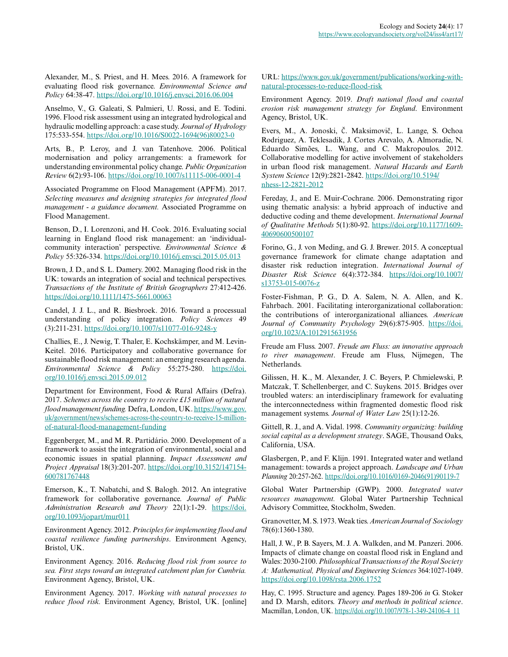Alexander, M., S. Priest, and H. Mees. 2016. A framework for evaluating flood risk governance. *Environmental Science and Policy* 64:38-47.<https://doi.org/10.1016/j.envsci.2016.06.004>

Anselmo, V., G. Galeati, S. Palmieri, U. Rossi, and E. Todini. 1996. Flood risk assessment using an integrated hydrological and hydraulic modelling approach: a case study. *Journal of Hydrology* 175:533-554. [https://doi.org/10.1016/S0022-1694\(96\)80023-0](https://doi.org/10.1016/S0022-1694(96)80023-0)

Arts, B., P. Leroy, and J. van Tatenhove. 2006. Political modernisation and policy arrangements: a framework for understanding environmental policy change. *Public Organization Review* 6(2):93-106.<https://doi.org/10.1007/s11115-006-0001-4>

Associated Programme on Flood Management (APFM). 2017. *Selecting measures and designing strategies for integrated flood management - a guidance document.* Associated Programme on Flood Management.

Benson, D., I. Lorenzoni, and H. Cook. 2016. Evaluating social learning in England flood risk management: an 'individualcommunity interaction' perspective. *Environmental Science & Policy* 55:326-334.<https://doi.org/10.1016/j.envsci.2015.05.013>

Brown, J. D., and S. L. Damery. 2002. Managing flood risk in the UK: towards an integration of social and technical perspectives. *Transactions of the Institute of British Geographers* 27:412-426. <https://doi.org/10.1111/1475-5661.00063>

Candel, J. J. L., and R. Biesbroek. 2016. Toward a processual understanding of policy integration. *Policy Sciences* 49 (3):211-231. <https://doi.org/10.1007/s11077-016-9248-y>

Challies, E., J. Newig, T. Thaler, E. Kochskämper, and M. Levin-Keitel. 2016. Participatory and collaborative governance for sustainable flood risk management: an emerging research agenda. *Environmental Science & Policy* 55:275-280. [https://doi.](https://doi.org/10.1016/j.envsci.2015.09.012) [org/10.1016/j.envsci.2015.09.012](https://doi.org/10.1016/j.envsci.2015.09.012) 

Department for Environment, Food & Rural Affairs (Defra). 2017. *Schemes across the country to receive £15 million of natural flood management funding.* Defra, London, UK. [https://www.gov.](https://www.gov.uk/government/news/schemes-across-the-country-to-receive-15-million-of-natural-flood-management-funding) [uk/government/news/schemes-across-the-country-to-receive-15-million](https://www.gov.uk/government/news/schemes-across-the-country-to-receive-15-million-of-natural-flood-management-funding)[of-natural-flood-management-funding](https://www.gov.uk/government/news/schemes-across-the-country-to-receive-15-million-of-natural-flood-management-funding) 

Eggenberger, M., and M. R. Partidário. 2000. Development of a framework to assist the integration of environmental, social and economic issues in spatial planning. *Impact Assessment and Project Appraisal* 18(3):201-207. [https://doi.org/10.3152/147154](https://doi.org/10.3152/147154600781767448) [600781767448](https://doi.org/10.3152/147154600781767448)

Emerson, K., T. Nabatchi, and S. Balogh. 2012. An integrative framework for collaborative governance. *Journal of Public Administration Research and Theory* 22(1):1-29. [https://doi.](https://doi.org/10.1093/jopart/mur011) [org/10.1093/jopart/mur011](https://doi.org/10.1093/jopart/mur011)

Environment Agency. 2012. *Principles for implementing flood and coastal resilience funding partnerships*. Environment Agency, Bristol, UK.

Environment Agency. 2016. *Reducing flood risk from source to sea. First steps toward an integrated catchment plan for Cumbria.* Environment Agency, Bristol, UK.

Environment Agency. 2017. *Working with natural processes to reduce flood risk.* Environment Agency, Bristol, UK. [online] URL: [https://www.gov.uk/government/publications/working-with](https://www.gov.uk/government/publications/working-with-natural-processes-to-reduce-flood-risk)[natural-processes-to-reduce-flood-risk](https://www.gov.uk/government/publications/working-with-natural-processes-to-reduce-flood-risk) 

Environment Agency. 2019. *Draft national flood and coastal erosion risk management strategy for England*. Environment Agency, Bristol, UK.

Evers, M., A. Jonoski, Č. Maksimovič, L. Lange, S. Ochoa Rodriguez, A. Teklesadik, J. Cortes Arevalo, A. Almoradie, N. Eduardo Simões, L. Wang, and C. Makropoulos. 2012. Collaborative modelling for active involvement of stakeholders in urban flood risk management. *Natural Hazards and Earth System Science* 12(9):2821-2842. [https://doi.org/10.5194/](https://doi.org/10.5194/nhess-12-2821-2012) [nhess-12-2821-2012](https://doi.org/10.5194/nhess-12-2821-2012) 

Fereday, J., and E. Muir-Cochrane. 2006. Demonstrating rigor using thematic analysis: a hybrid approach of inductive and deductive coding and theme development. *International Journal of Qualitative Methods* 5(1):80-92. [https://doi.org/10.1177/1609](https://doi.org/10.1177/160940690600500107) [40690600500107](https://doi.org/10.1177/160940690600500107)

Forino, G., J. von Meding, and G. J. Brewer. 2015. A conceptual governance framework for climate change adaptation and disaster risk reduction integration. *International Journal of Disaster Risk Science* 6(4):372-384. [https://doi.org/10.1007/](https://doi.org/10.1007/s13753-015-0076-z) [s13753-015-0076-z](https://doi.org/10.1007/s13753-015-0076-z)

Foster-Fishman, P. G., D. A. Salem, N. A. Allen, and K. Fahrbach. 2001. Facilitating interorganizational collaboration: the contributions of interorganizational alliances. *American Journal of Community Psychology* 29(6):875-905. [https://doi.](https://doi.org/10.1023/A:1012915631956) [org/10.1023/A:1012915631956](https://doi.org/10.1023/A:1012915631956)

Freude am Fluss. 2007. *Freude am Fluss: an innovative approach to river management*. Freude am Fluss, Nijmegen, The Netherlands.

Gilissen, H. K., M. Alexander, J. C. Beyers, P. Chmielewski, P. Matczak, T. Schellenberger, and C. Suykens. 2015. Bridges over troubled waters: an interdisciplinary framework for evaluating the interconnectedness within fragmented domestic flood risk management systems. *Journal of Water Law* 25(1):12-26.

Gittell, R. J., and A. Vidal. 1998. *Community organizing: building social capital as a development strategy*. SAGE, Thousand Oaks, California, USA.

Glasbergen, P., and F. Klijn. 1991. Integrated water and wetland management: towards a project approach. *Landscape and Urban Planning* 20:257-262. [https://doi.org/10.1016/0169-2046\(91\)90119-7](https://doi.org/10.1016/0169-2046(91)90119-7) 

Global Water Partnership (GWP). 2000. *Integrated water resources management.* Global Water Partnership Technical Advisory Committee, Stockholm, Sweden.

Granovetter, M. S. 1973. Weak ties. *American Journal of Sociology* 78(6):1360-1380.

Hall, J. W., P. B. Sayers, M. J. A. Walkden, and M. Panzeri. 2006. Impacts of climate change on coastal flood risk in England and Wales: 2030-2100. *Philosophical Transactions of the Royal Society A: Mathematical, Physical and Engineering Sciences* 364:1027-1049. <https://doi.org/10.1098/rsta.2006.1752>

Hay, C. 1995. Structure and agency. Pages 189-206 *in* G. Stoker and D. Marsh, editors. *Theory and methods in political science*. Macmillan, London, UK. [https://doi.org/10.1007/978-1-349-24106-4\\_11](https://doi.org/10.1007/978-1-349-24106-4_11)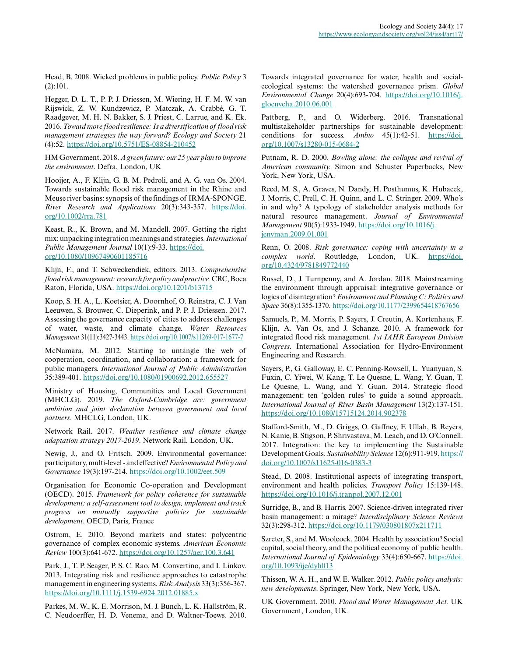Head, B. 2008. Wicked problems in public policy. *Public Policy* 3 (2):101.

Hegger, D. L. T., P. P. J. Driessen, M. Wiering, H. F. M. W. van Rijswick, Z. W. Kundzewicz, P. Matczak, A. Crabbé, G. T. Raadgever, M. H. N. Bakker, S. J. Priest, C. Larrue, and K. Ek. 2016. *Toward more flood resilience: Is a diversification of flood risk management strategies the way forward? Ecology and Society* 21 (4):52. <https://doi.org/10.5751/ES-08854-210452>

HM Government. 2018. *A green future: our 25 year plan to improve the environment*. Defra, London, UK

Hooijer, A., F. Klijn, G. B. M. Pedroli, and A. G. van Os. 2004. Towards sustainable flood risk management in the Rhine and Meuse river basins: synopsis of the findings of IRMA-SPONGE. *River Research and Applications* 20(3):343-357. [https://doi.](https://doi.org/10.1002/rra.781) [org/10.1002/rra.781](https://doi.org/10.1002/rra.781)

Keast, R., K. Brown, and M. Mandell. 2007. Getting the right mix: unpacking integration meanings and strategies. *International Public Management Journal* 10(1):9-33. [https://doi.](https://doi.org/10.1080/10967490601185716) [org/10.1080/10967490601185716](https://doi.org/10.1080/10967490601185716) 

Klijn, F., and T. Schweckendiek, editors. 2013. *Comprehensive flood risk management: research for policy and practice.* CRC, Boca Raton, Florida, USA. <https://doi.org/10.1201/b13715>

Koop, S. H. A., L. Koetsier, A. Doornhof, O. Reinstra, C. J. Van Leeuwen, S. Brouwer, C. Dieperink, and P. P. J. Driessen. 2017. Assessing the governance capacity of cities to address challenges of water, waste, and climate change. *Water Resources Management* 31(11):3427-3443.<https://doi.org/10.1007/s11269-017-1677-7>

McNamara, M. 2012. Starting to untangle the web of cooperation, coordination, and collaboration: a framework for public managers. *International Journal of Public Administration* 35:389-401.<https://doi.org/10.1080/01900692.2012.655527>

Ministry of Housing, Communities and Local Government (MHCLG). 2019. *The Oxford-Cambridge arc: government ambition and joint declaration between government and local partners*. MHCLG, London, UK.

Network Rail. 2017. *Weather resilience and climate change adaptation strategy 2017-2019*. Network Rail, London, UK.

Newig, J., and O. Fritsch. 2009. Environmental governance: participatory, multi-level - and effective? *Environmental Policy and Governance* 19(3):197-214.<https://doi.org/10.1002/eet.509>

Organisation for Economic Co-operation and Development (OECD). 2015. *Framework for policy coherence for sustainable development: a self-assessment tool to design, implement and track progress on mutually supportive policies for sustainable development*. OECD, Paris, France

Ostrom, E. 2010. Beyond markets and states: polycentric governance of complex economic systems. *American Economic Review* 100(3):641-672. <https://doi.org/10.1257/aer.100.3.641>

Park, J., T. P. Seager, P. S. C. Rao, M. Convertino, and I. Linkov. 2013. Integrating risk and resilience approaches to catastrophe management in engineering systems. *Risk Analysis* 33(3):356-367. <https://doi.org/10.1111/j.1539-6924.2012.01885.x>

Parkes, M. W., K. E. Morrison, M. J. Bunch, L. K. Hallström, R. C. Neudoerffer, H. D. Venema, and D. Waltner-Toews. 2010. Towards integrated governance for water, health and socialecological systems: the watershed governance prism. *Global Environmental Change* 20(4):693-704. [https://doi.org/10.1016/j.](https://doi.org/10.1016/j.gloenvcha.2010.06.001) [gloenvcha.2010.06.001](https://doi.org/10.1016/j.gloenvcha.2010.06.001)

Pattberg, P., and O. Widerberg. 2016. Transnational multistakeholder partnerships for sustainable development: conditions for success. *Ambio* 45(1):42-51. [https://doi.](https://doi.org/10.1007/s13280-015-0684-2) [org/10.1007/s13280-015-0684-2](https://doi.org/10.1007/s13280-015-0684-2)

Putnam, R. D. 2000. *Bowling alone: the collapse and revival of American community.* Simon and Schuster Paperbacks, New York, New York, USA.

Reed, M. S., A. Graves, N. Dandy, H. Posthumus, K. Hubacek, J. Morris, C. Prell, C. H. Quinn, and L. C. Stringer. 2009. Who's in and why? A typology of stakeholder analysis methods for natural resource management. *Journal of Environmental Management* 90(5):1933-1949. [https://doi.org/10.1016/j.](https://doi.org/10.1016/j.jenvman.2009.01.001) [jenvman.2009.01.001](https://doi.org/10.1016/j.jenvman.2009.01.001)

Renn, O. 2008. *Risk governance: coping with uncertainty in a complex world*. Routledge, London, UK. [https://doi.](https://doi.org/10.4324/9781849772440) [org/10.4324/9781849772440](https://doi.org/10.4324/9781849772440) 

Russel, D., J. Turnpenny, and A. Jordan. 2018. Mainstreaming the environment through appraisal: integrative governance or logics of disintegration? *Environment and Planning C: Politics and Space* 36(8):1355-1370. <https://doi.org/10.1177/2399654418767656>

Samuels, P., M. Morris, P. Sayers, J. Creutin, A. Kortenhaus, F. Klijn, A. Van Os, and J. Schanze. 2010. A framework for integrated flood risk management. *1st IAHR European Division Congress*. International Association for Hydro-Environment Engineering and Research.

Sayers, P., G. Galloway, E. C. Penning-Rowsell, L. Yuanyuan, S. Fuxin, C. Yiwei, W. Kang, T. Le Quesne, L. Wang, Y. Guan, T. Le Quesne, L. Wang, and Y. Guan. 2014. Strategic flood management: ten 'golden rules' to guide a sound approach. *International Journal of River Basin Management* 13(2):137-151. <https://doi.org/10.1080/15715124.2014.902378>

Stafford-Smith, M., D. Griggs, O. Gaffney, F. Ullah, B. Reyers, N. Kanie, B. Stigson, P. Shrivastava, M. Leach, and D. O'Connell. 2017. Integration: the key to implementing the Sustainable Development Goals. *Sustainability Science* 12(6):911-919. [https://](https://doi.org/10.1007/s11625-016-0383-3) [doi.org/10.1007/s11625-016-0383-3](https://doi.org/10.1007/s11625-016-0383-3) 

Stead, D. 2008. Institutional aspects of integrating transport, environment and health policies. *Transport Policy* 15:139-148. <https://doi.org/10.1016/j.tranpol.2007.12.001>

Surridge, B., and B. Harris. 2007. Science-driven integrated river basin management: a mirage? *Interdisciplinary Science Reviews* 32(3):298-312. <https://doi.org/10.1179/030801807x211711>

Szreter, S., and M. Woolcock. 2004. Health by association? Social capital, social theory, and the political economy of public health. *International Journal of Epidemiology* 33(4):650-667. [https://doi.](https://doi.org/10.1093/ije/dyh013) [org/10.1093/ije/dyh013](https://doi.org/10.1093/ije/dyh013)

Thissen, W. A. H., and W. E. Walker. 2012. *Public policy analysis: new developments*. Springer, New York, New York, USA.

UK Government. 2010. *Flood and Water Management Act.* UK Government, London, UK.